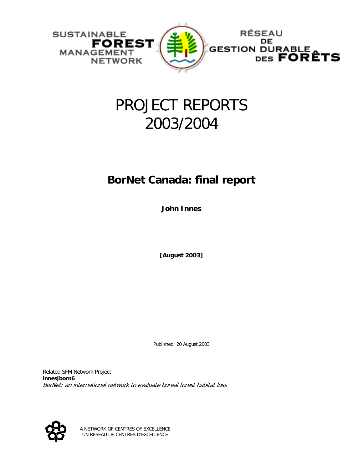

# PROJECT REPORTS 2003/2004

# **BorNet Canada: final report**

**John Innes** 

**[August 2003]** 

Published: 20 August 2003

Related SFM Network Project: **innesjborn6** BorNet: an international network to evaluate boreal forest habitat loss



A NETWORK OF CENTRES OF EXCELLENCE UN RÉSEAU DE CENTRES D'EXCELLENCE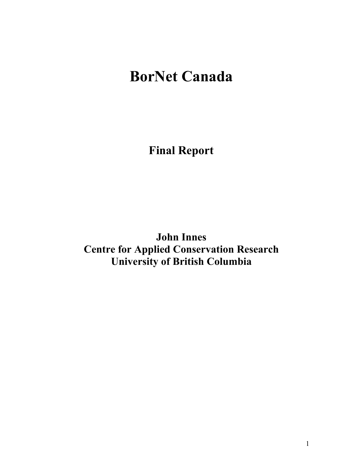# **BorNet Canada**

**Final Report** 

**John Innes Centre for Applied Conservation Research University of British Columbia**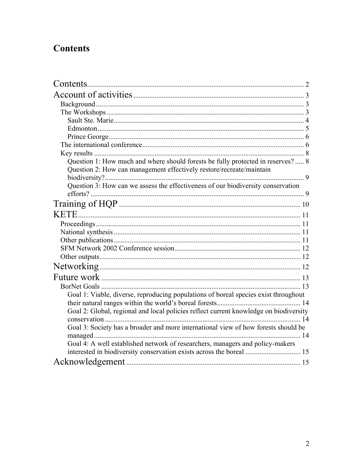# **Contents**

| Contents.                                                                             |  |
|---------------------------------------------------------------------------------------|--|
|                                                                                       |  |
|                                                                                       |  |
|                                                                                       |  |
|                                                                                       |  |
|                                                                                       |  |
|                                                                                       |  |
|                                                                                       |  |
|                                                                                       |  |
| Question 1: How much and where should forests be fully protected in reserves?  8      |  |
| Question 2: How can management effectively restore/recreate/maintain                  |  |
|                                                                                       |  |
| Question 3: How can we assess the effectiveness of our biodiversity conservation      |  |
|                                                                                       |  |
|                                                                                       |  |
|                                                                                       |  |
|                                                                                       |  |
|                                                                                       |  |
|                                                                                       |  |
|                                                                                       |  |
|                                                                                       |  |
|                                                                                       |  |
|                                                                                       |  |
|                                                                                       |  |
| Goal 1: Viable, diverse, reproducing populations of boreal species exist throughout   |  |
|                                                                                       |  |
| Goal 2: Global, regional and local policies reflect current knowledge on biodiversity |  |
|                                                                                       |  |
| Goal 3: Society has a broader and more international view of how forests should be    |  |
|                                                                                       |  |
| Goal 4: A well established network of researchers, managers and policy-makers         |  |
|                                                                                       |  |
|                                                                                       |  |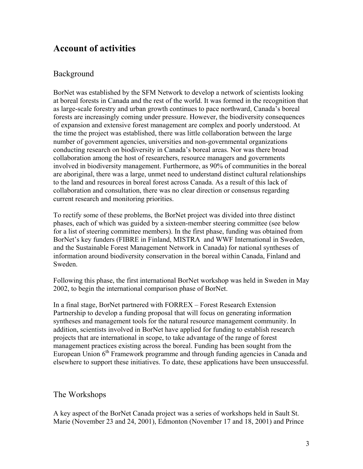## **Account of activities**

### Background

BorNet was established by the SFM Network to develop a network of scientists looking at boreal forests in Canada and the rest of the world. It was formed in the recognition that as large-scale forestry and urban growth continues to pace northward, Canada's boreal forests are increasingly coming under pressure. However, the biodiversity consequences of expansion and extensive forest management are complex and poorly understood. At the time the project was established, there was little collaboration between the large number of government agencies, universities and non-governmental organizations conducting research on biodiversity in Canada's boreal areas. Nor was there broad collaboration among the host of researchers, resource managers and governments involved in biodiversity management. Furthermore, as 90% of communities in the boreal are aboriginal, there was a large, unmet need to understand distinct cultural relationships to the land and resources in boreal forest across Canada. As a result of this lack of collaboration and consultation, there was no clear direction or consensus regarding current research and monitoring priorities.

To rectify some of these problems, the BorNet project was divided into three distinct phases, each of which was guided by a sixteen-member steering committee (see below for a list of steering committee members). In the first phase, funding was obtained from BorNet's key funders (FIBRE in Finland, MISTRA and WWF International in Sweden, and the Sustainable Forest Management Network in Canada) for national syntheses of information around biodiversity conservation in the boreal within Canada, Finland and Sweden.

Following this phase, the first international BorNet workshop was held in Sweden in May 2002, to begin the international comparison phase of BorNet.

In a final stage, BorNet partnered with FORREX – Forest Research Extension Partnership to develop a funding proposal that will focus on generating information syntheses and management tools for the natural resource management community. In addition, scientists involved in BorNet have applied for funding to establish research projects that are international in scope, to take advantage of the range of forest management practices existing across the boreal. Funding has been sought from the European Union  $6<sup>th</sup>$  Framework programme and through funding agencies in Canada and elsewhere to support these initiatives. To date, these applications have been unsuccessful.

### The Workshops

A key aspect of the BorNet Canada project was a series of workshops held in Sault St. Marie (November 23 and 24, 2001), Edmonton (November 17 and 18, 2001) and Prince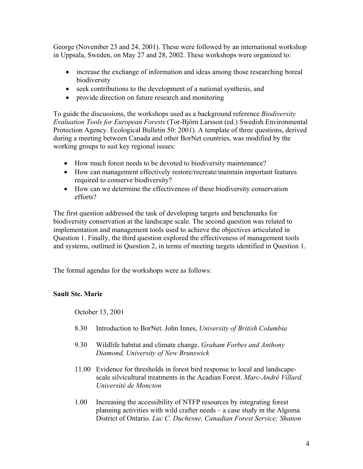George (November 23 and 24, 2001). These were followed by an international workshop in Uppsala, Sweden, on May 27 and 28, 2002. These workshops were organized to:

- increase the exchange of information and ideas among those researching boreal biodiversity
- seek contributions to the development of a national synthesis, and
- provide direction on future research and monitoring

To guide the discussions, the workshops used as a background reference *Biodiversity Evaluation Tools for European Forests* (Tor-Björn Larsson (ed.) Swedish Environmental Protection Agency. Ecological Bulletin 50: 2001). A template of three questions, derived during a meeting between Canada and other BorNet countries, was modified by the working groups to suit key regional issues:

- How much forest needs to be devoted to biodiversity maintenance?
- How can management effectively restore/recreate/maintain important features required to conserve biodiversity?
- How can we determine the effectiveness of these biodiversity conservation efforts?

The first question addressed the task of developing targets and benchmarks for biodiversity conservation at the landscape scale. The second question was related to implementation and management tools used to achieve the objectives articulated in Question 1. Finally, the third question explored the effectiveness of management tools and systems, outlined in Question 2, in terms of meeting targets identified in Question 1.

The formal agendas for the workshops were as follows:

### **Sault Ste. Marie**

October 13, 2001

- 8.30 Introduction to BorNet. John Innes, *University of British Columbia*
- 9.30 Wildlife habitat and climate change. *Graham Forbes and Anthony Diamond, University of New Brunswick*
- 11.00 Evidence for thresholds in forest bird response to local and landscapescale silvicultural treatments in the Acadian Forest. *Marc-André Villard, Université de Moncton*
- 1.00 Increasing the accessibility of NTFP resources by integrating forest planning activities with wild crafter needs – a case study in the Algoma District of Ontario. *Luc C. Duchesne, Canadian Forest Service; Shanon*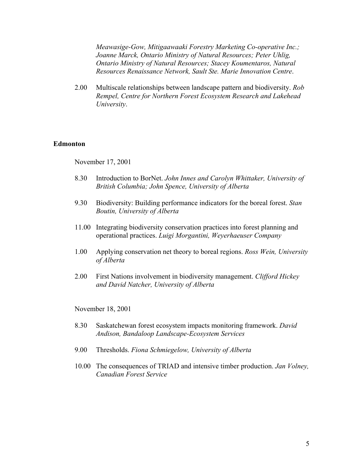*Meawasige-Gow, Mitigaawaaki Forestry Marketing Co-operative Inc.; Joanne Marck, Ontario Ministry of Natural Resources; Peter Uhlig, Ontario Ministry of Natural Resources; Stacey Koumentaros, Natural Resources Renaissance Network, Sault Ste. Marie Innovation Centre*.

2.00 Multiscale relationships between landscape pattern and biodiversity. *Rob Rempel, Centre for Northern Forest Ecosystem Research and Lakehead University*.

#### **Edmonton**

November 17, 2001

- 8.30 Introduction to BorNet. *John Innes and Carolyn Whittaker, University of British Columbia; John Spence, University of Alberta*
- 9.30 Biodiversity: Building performance indicators for the boreal forest. *Stan Boutin, University of Alberta*
- 11.00 Integrating biodiversity conservation practices into forest planning and operational practices. *Luigi Morgantini, Weyerhaeuser Company*
- 1.00 Applying conservation net theory to boreal regions. *Ross Wein, University of Alberta*
- 2.00 First Nations involvement in biodiversity management. *Clifford Hickey and David Natcher, University of Alberta*

November 18, 2001

- 8.30 Saskatchewan forest ecosystem impacts monitoring framework. *David Andison, Bandaloop Landscape-Ecosystem Services*
- 9.00 Thresholds. *Fiona Schmiegelow, University of Alberta*
- 10.00 The consequences of TRIAD and intensive timber production. *Jan Volney, Canadian Forest Service*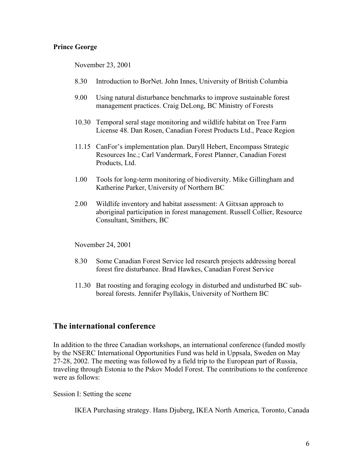### **Prince George**

November 23, 2001

- 8.30 Introduction to BorNet. John Innes, University of British Columbia
- 9.00 Using natural disturbance benchmarks to improve sustainable forest management practices. Craig DeLong, BC Ministry of Forests
- 10.30 Temporal seral stage monitoring and wildlife habitat on Tree Farm License 48. Dan Rosen, Canadian Forest Products Ltd., Peace Region
- 11.15 CanFor's implementation plan. Daryll Hebert, Encompass Strategic Resources Inc.; Carl Vandermark, Forest Planner, Canadian Forest Products, Ltd.
- 1.00 Tools for long-term monitoring of biodiversity. Mike Gillingham and Katherine Parker, University of Northern BC
- 2.00 Wildlife inventory and habitat assessment: A Gitxsan approach to aboriginal participation in forest management. Russell Collier, Resource Consultant, Smithers, BC

November 24, 2001

- 8.30 Some Canadian Forest Service led research projects addressing boreal forest fire disturbance. Brad Hawkes, Canadian Forest Service
- 11.30 Bat roosting and foraging ecology in disturbed and undisturbed BC subboreal forests. Jennifer Psyllakis, University of Northern BC

### **The international conference**

In addition to the three Canadian workshops, an international conference (funded mostly by the NSERC International Opportunities Fund was held in Uppsala, Sweden on May 27-28, 2002. The meeting was followed by a field trip to the European part of Russia, traveling through Estonia to the Pskov Model Forest. The contributions to the conference were as follows:

Session I: Setting the scene

IKEA Purchasing strategy. Hans Djuberg, IKEA North America, Toronto, Canada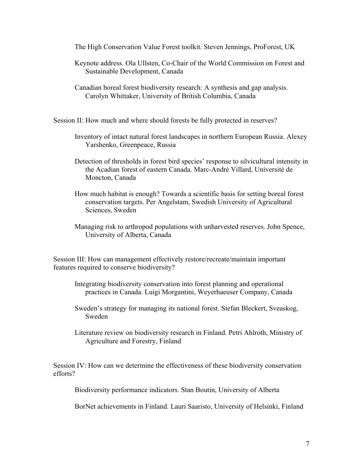The High Conservation Value Forest toolkit. Steven Jennings, ProForest, UK

- Keynote address. Ola Ullsten, Co-Chair of the World Commission on Forest and Sustainable Development, Canada
- Canadian boreal forest biodiversity research: A synthesis and gap analysis. Carolyn Whittaker, University of British Columbia, Canada

Session II: How much and where should forests be fully protected in reserves?

- Inventory of intact natural forest landscapes in northern European Russia. Alexey Yarshenko, Greenpeace, Russia
- Detection of thresholds in forest bird species' response to silvicultural intensity in the Acadian forest of eastern Canada. Marc-André Villard, Université de Moncton, Canada
- How much habitat is enough? Towards a scientific basis for setting boreal forest conservation targets. Per Angelstam, Swedish University of Agricultural Sciences, Sweden
- Managing risk to arthropod populations with unharvested reserves. John Spence, University of Alberta, Canada

Session III: How can management effectively restore/recreate/maintain important features required to conserve biodiversity?

- Integrating biodiversity conservation into forest planning and operational practices in Canada. Luigi Morgantini, Weyerhaeuser Company, Canada
- Sweden's strategy for managing its national forest. Stefan Bleckert, Sveaskog, Sweden
- Literature review on biodiversity research in Finland. Petri Ahlroth, Ministry of Agriculture and Forestry, Finland

Session IV: How can we determine the effectiveness of these biodiversity conservation efforts?

Biodiversity performance indicators. Stan Boutin, University of Alberta

BorNet achievements in Finland. Lauri Saaristo, University of Helsinki, Finland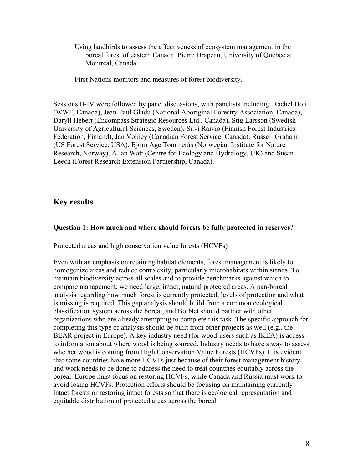Using landbirds to assess the effectiveness of ecosystem management in the boreal forest of eastern Canada. Pierre Drapeau, University of Quebec at Montreal, Canada

First Nations monitors and measures of forest biodiversity.

Sessions II-IV were followed by panel discussions, with panelists including: Rachel Holt (WWF, Canada), Jean-Paul Gladu (National Aboriginal Forestry Association, Canada), Daryll Hebert (Encompass Strategic Resources Ltd., Canada), Stig Larsson (Swedish University of Agricultural Sciences, Sweden), Suvi Raivio (Finnish Forest Industries Federation, Finland), Jan Volney (Canadian Forest Service, Canada), Russell Graham (US Forest Service, USA), Bjorn Åge Tømmerås (Norwegian Institute for Nature Research, Norway), Allan Watt (Centre for Ecology and Hydrology, UK) and Susan Leech (Forest Research Extension Partnership, Canada).

### **Key results**

### **Question 1: How much and where should forests be fully protected in reserves?**

Protected areas and high conservation value forests (HCVFs)

Even with an emphasis on retaining habitat elements, forest management is likely to homogenize areas and reduce complexity, particularly microhabitats within stands. To maintain biodiversity across all scales and to provide benchmarks against which to compare management, we need large, intact, natural protected areas. A pan-boreal analysis regarding how much forest is currently protected, levels of protection and what is missing is required. This gap analysis should build from a common ecological classification system across the boreal, and BorNet should partner with other organizations who are already attempting to complete this task. The specific approach for completing this type of analysis should be built from other projects as well (e.g., the BEAR project in Europe). A key industry need (for wood-users such as IKEA) is access to information about where wood is being sourced. Industry needs to have a way to assess whether wood is coming from High Conservation Value Forests (HCVFs). It is evident that some countries have more HCVFs just because of their forest management history and work needs to be done to address the need to treat countries equitably across the boreal. Europe must focus on restoring HCVFs, while Canada and Russia must work to avoid losing HCVFs. Protection efforts should be focusing on maintaining currently intact forests or restoring intact forests so that there is ecological representation and equitable distribution of protected areas across the boreal.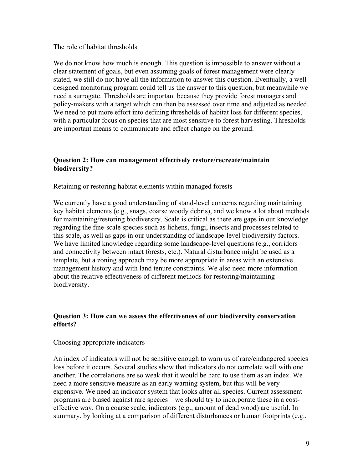#### The role of habitat thresholds

We do not know how much is enough. This question is impossible to answer without a clear statement of goals, but even assuming goals of forest management were clearly stated, we still do not have all the information to answer this question. Eventually, a welldesigned monitoring program could tell us the answer to this question, but meanwhile we need a surrogate. Thresholds are important because they provide forest managers and policy-makers with a target which can then be assessed over time and adjusted as needed. We need to put more effort into defining thresholds of habitat loss for different species, with a particular focus on species that are most sensitive to forest harvesting. Thresholds are important means to communicate and effect change on the ground.

#### **Question 2: How can management effectively restore/recreate/maintain biodiversity?**

Retaining or restoring habitat elements within managed forests

We currently have a good understanding of stand-level concerns regarding maintaining key habitat elements (e.g., snags, coarse woody debris), and we know a lot about methods for maintaining/restoring biodiversity. Scale is critical as there are gaps in our knowledge regarding the fine-scale species such as lichens, fungi, insects and processes related to this scale, as well as gaps in our understanding of landscape-level biodiversity factors. We have limited knowledge regarding some landscape-level questions (e.g., corridors and connectivity between intact forests, etc.). Natural disturbance might be used as a template, but a zoning approach may be more appropriate in areas with an extensive management history and with land tenure constraints. We also need more information about the relative effectiveness of different methods for restoring/maintaining biodiversity.

### **Question 3: How can we assess the effectiveness of our biodiversity conservation efforts?**

#### Choosing appropriate indicators

An index of indicators will not be sensitive enough to warn us of rare/endangered species loss before it occurs. Several studies show that indicators do not correlate well with one another. The correlations are so weak that it would be hard to use them as an index. We need a more sensitive measure as an early warning system, but this will be very expensive. We need an indicator system that looks after all species. Current assessment programs are biased against rare species – we should try to incorporate these in a costeffective way. On a coarse scale, indicators (e.g., amount of dead wood) are useful. In summary, by looking at a comparison of different disturbances or human footprints (e.g.,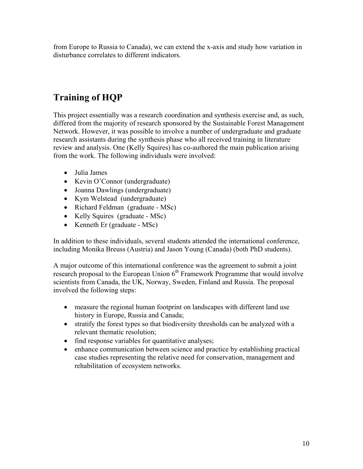from Europe to Russia to Canada), we can extend the x-axis and study how variation in disturbance correlates to different indicators.

# **Training of HQP**

This project essentially was a research coordination and synthesis exercise and, as such, differed from the majority of research sponsored by the Sustainable Forest Management Network. However, it was possible to involve a number of undergraduate and graduate research assistants during the synthesis phase who all received training in literature review and analysis. One (Kelly Squires) has co-authored the main publication arising from the work. The following individuals were involved:

- Julia James
- Kevin O'Connor (undergraduate)
- Joanna Dawlings (undergraduate)
- Kym Welstead (undergraduate)
- Richard Feldman (graduate MSc)
- Kelly Squires (graduate MSc)
- Kenneth Er (graduate MSc)

In addition to these individuals, several students attended the international conference, including Monika Breuss (Austria) and Jason Young (Canada) (both PhD students).

A major outcome of this international conference was the agreement to submit a joint research proposal to the European Union  $6<sup>th</sup>$  Framework Programme that would involve scientists from Canada, the UK, Norway, Sweden, Finland and Russia. The proposal involved the following steps:

- measure the regional human footprint on landscapes with different land use history in Europe, Russia and Canada;
- stratify the forest types so that biodiversity thresholds can be analyzed with a relevant thematic resolution;
- find response variables for quantitative analyses;
- enhance communication between science and practice by establishing practical case studies representing the relative need for conservation, management and rehabilitation of ecosystem networks.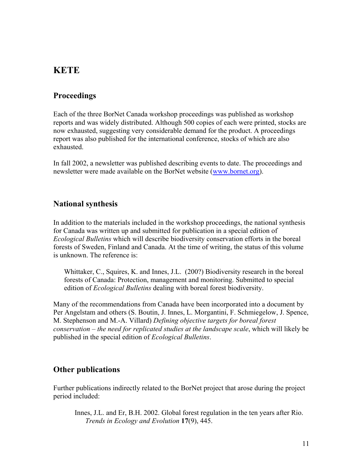### **KETE**

### **Proceedings**

Each of the three BorNet Canada workshop proceedings was published as workshop reports and was widely distributed. Although 500 copies of each were printed, stocks are now exhausted, suggesting very considerable demand for the product. A proceedings report was also published for the international conference, stocks of which are also exhausted.

In fall 2002, a newsletter was published describing events to date. The proceedings and newsletter were made available on the BorNet website ([www.bornet.org\)](http://www.bornet.org/).

### **National synthesis**

In addition to the materials included in the workshop proceedings, the national synthesis for Canada was written up and submitted for publication in a special edition of *Ecological Bulletins* which will describe biodiversity conservation efforts in the boreal forests of Sweden, Finland and Canada. At the time of writing, the status of this volume is unknown. The reference is:

Whittaker, C., Squires, K. and Innes, J.L. (200?) Biodiversity research in the boreal forests of Canada: Protection, management and monitoring. Submitted to special edition of *Ecological Bulletins* dealing with boreal forest biodiversity.

Many of the recommendations from Canada have been incorporated into a document by Per Angelstam and others (S. Boutin, J. Innes, L. Morgantini, F. Schmiegelow, J. Spence, M. Stephenson and M.-A. Villard) *Defining objective targets for boreal forest conservation – the need for replicated studies at the landscape scale*, which will likely be published in the special edition of *Ecological Bulletins*.

### **Other publications**

Further publications indirectly related to the BorNet project that arose during the project period included:

Innes, J.L. and Er, B.H. 2002. Global forest regulation in the ten years after Rio. *Trends in Ecology and Evolution* **17**(9), 445.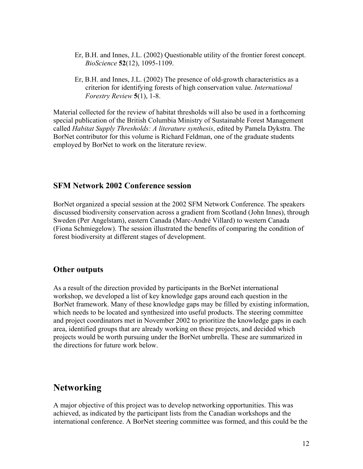- Er, B.H. and Innes, J.L. (2002) Questionable utility of the frontier forest concept. *BioScience* **52**(12), 1095-1109.
- Er, B.H. and Innes, J.L. (2002) The presence of old-growth characteristics as a criterion for identifying forests of high conservation value. *International Forestry Review* **5**(1), 1-8.

Material collected for the review of habitat thresholds will also be used in a forthcoming special publication of the British Columbia Ministry of Sustainable Forest Management called *Habitat Supply Thresholds: A literature synthesis*, edited by Pamela Dykstra. The BorNet contributor for this volume is Richard Feldman, one of the graduate students employed by BorNet to work on the literature review.

### **SFM Network 2002 Conference session**

BorNet organized a special session at the 2002 SFM Network Conference. The speakers discussed biodiversity conservation across a gradient from Scotland (John Innes), through Sweden (Per Angelstam), eastern Canada (Marc-André Villard) to western Canada (Fiona Schmiegelow). The session illustrated the benefits of comparing the condition of forest biodiversity at different stages of development.

### **Other outputs**

As a result of the direction provided by participants in the BorNet international workshop, we developed a list of key knowledge gaps around each question in the BorNet framework. Many of these knowledge gaps may be filled by existing information, which needs to be located and synthesized into useful products. The steering committee and project coordinators met in November 2002 to prioritize the knowledge gaps in each area, identified groups that are already working on these projects, and decided which projects would be worth pursuing under the BorNet umbrella. These are summarized in the directions for future work below.

# **Networking**

A major objective of this project was to develop networking opportunities. This was achieved, as indicated by the participant lists from the Canadian workshops and the international conference. A BorNet steering committee was formed, and this could be the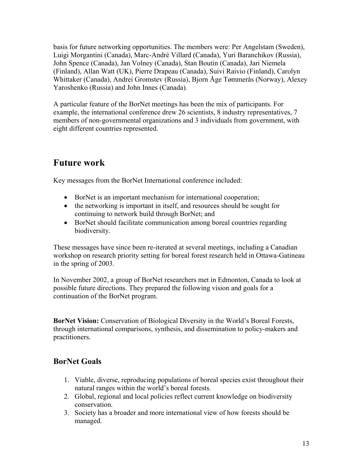basis for future networking opportunities. The members were: Per Angelstam (Sweden), Luigi Morgantini (Canada), Marc-André Villard (Canada), Yuri Baranchikov (Russia), John Spence (Canada), Jan Volney (Canada), Stan Boutin (Canada), Jari Niemela (Finland), Allan Watt (UK), Pierre Drapeau (Canada), Suivi Raivio (Finland), Carolyn Whittaker (Canada), Andrei Gromstev (Russia), Bjorn Åge Tømmerås (Norway), Alexey Yaroshenko (Russia) and John Innes (Canada).

A particular feature of the BorNet meetings has been the mix of participants. For example, the international conference drew 26 scientists, 8 industry representatives, 7 members of non-governmental organizations and 3 individuals from government, with eight different countries represented.

## **Future work**

Key messages from the BorNet International conference included:

- BorNet is an important mechanism for international cooperation;
- the networking is important in itself, and resources should be sought for continuing to network build through BorNet; and
- BorNet should facilitate communication among boreal countries regarding biodiversity.

These messages have since been re-iterated at several meetings, including a Canadian workshop on research priority setting for boreal forest research held in Ottawa-Gatineau in the spring of 2003.

In November 2002, a group of BorNet researchers met in Edmonton, Canada to look at possible future directions. They prepared the following vision and goals for a continuation of the BorNet program.

**BorNet Vision:** Conservation of Biological Diversity in the World's Boreal Forests, through international comparisons, synthesis, and dissemination to policy-makers and practitioners.

### **BorNet Goals**

- 1. Viable, diverse, reproducing populations of boreal species exist throughout their natural ranges within the world's boreal forests.
- 2. Global, regional and local policies reflect current knowledge on biodiversity conservation.
- 3. Society has a broader and more international view of how forests should be managed.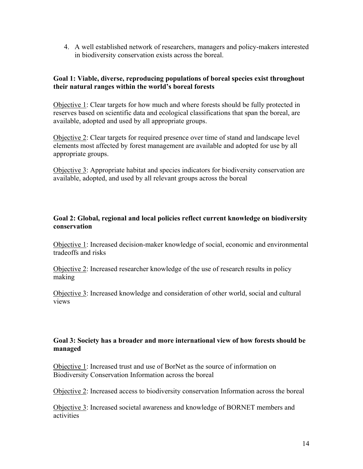4. A well established network of researchers, managers and policy-makers interested in biodiversity conservation exists across the boreal.

### **Goal 1: Viable, diverse, reproducing populations of boreal species exist throughout their natural ranges within the world's boreal forests**

Objective 1: Clear targets for how much and where forests should be fully protected in reserves based on scientific data and ecological classifications that span the boreal, are available, adopted and used by all appropriate groups.

Objective 2: Clear targets for required presence over time of stand and landscape level elements most affected by forest management are available and adopted for use by all appropriate groups.

Objective 3: Appropriate habitat and species indicators for biodiversity conservation are available, adopted, and used by all relevant groups across the boreal

### **Goal 2: Global, regional and local policies reflect current knowledge on biodiversity conservation**

Objective 1: Increased decision-maker knowledge of social, economic and environmental tradeoffs and risks

Objective 2: Increased researcher knowledge of the use of research results in policy making

Objective 3: Increased knowledge and consideration of other world, social and cultural views

### **Goal 3: Society has a broader and more international view of how forests should be managed**

Objective 1: Increased trust and use of BorNet as the source of information on Biodiversity Conservation Information across the boreal

Objective 2: Increased access to biodiversity conservation Information across the boreal

Objective 3: Increased societal awareness and knowledge of BORNET members and activities